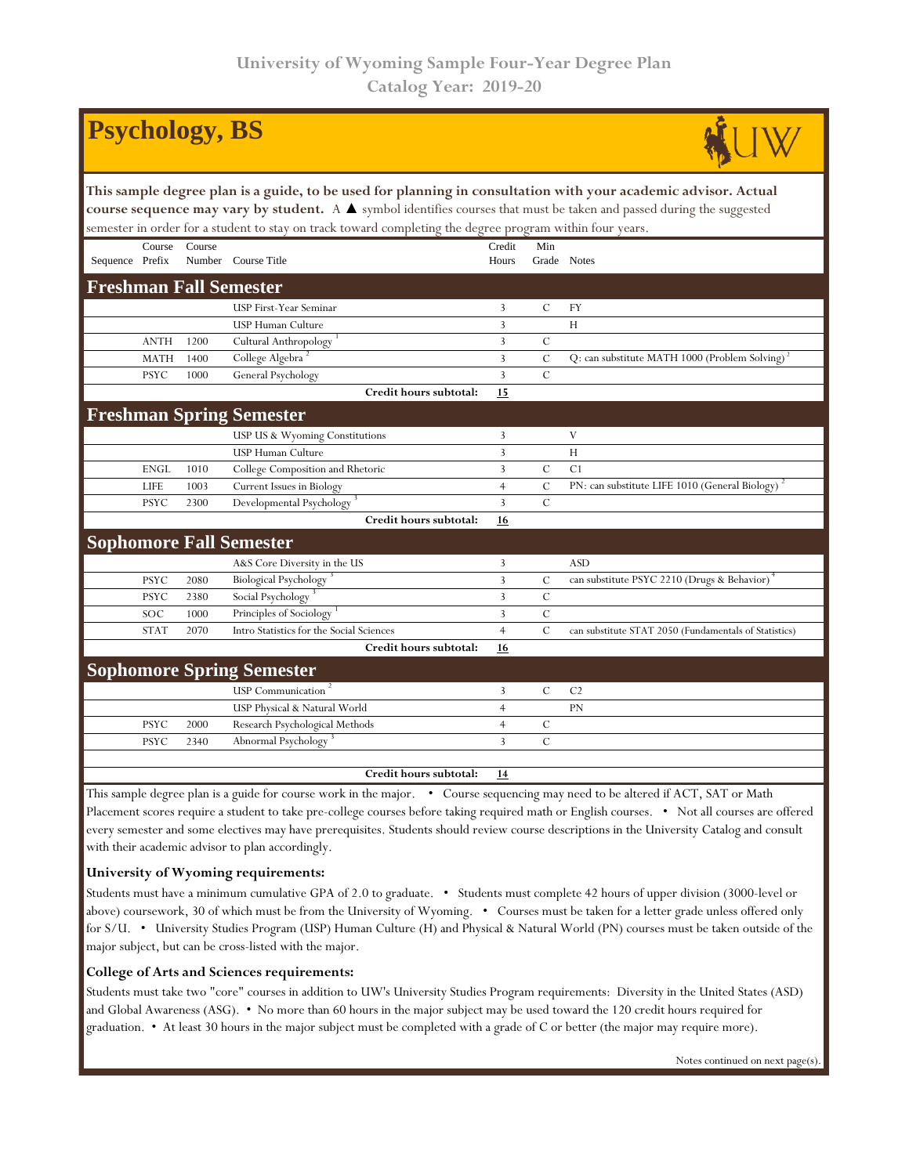|                                                                                                                                                                                                                                                                                                                                                                    |             | <b>Psychology, BS</b> |                                                                  |                 |               |                                                                                         |  |  |  |  |  |
|--------------------------------------------------------------------------------------------------------------------------------------------------------------------------------------------------------------------------------------------------------------------------------------------------------------------------------------------------------------------|-------------|-----------------------|------------------------------------------------------------------|-----------------|---------------|-----------------------------------------------------------------------------------------|--|--|--|--|--|
| This sample degree plan is a guide, to be used for planning in consultation with your academic advisor. Actual<br>course sequence may vary by student. A $\blacktriangle$ symbol identifies courses that must be taken and passed during the suggested<br>semester in order for a student to stay on track toward completing the degree program within four years. |             |                       |                                                                  |                 |               |                                                                                         |  |  |  |  |  |
| Sequence Prefix                                                                                                                                                                                                                                                                                                                                                    | Course      | Course                | Number Course Title                                              | Credit<br>Hours | Min           | Grade Notes                                                                             |  |  |  |  |  |
|                                                                                                                                                                                                                                                                                                                                                                    |             |                       | <b>Freshman Fall Semester</b>                                    |                 |               |                                                                                         |  |  |  |  |  |
|                                                                                                                                                                                                                                                                                                                                                                    |             |                       | USP First-Year Seminar                                           | 3               | $\mathcal{C}$ | <b>FY</b>                                                                               |  |  |  |  |  |
|                                                                                                                                                                                                                                                                                                                                                                    |             |                       | USP Human Culture                                                | 3               |               | H                                                                                       |  |  |  |  |  |
|                                                                                                                                                                                                                                                                                                                                                                    | <b>ANTH</b> | 1200                  | Cultural Anthropology                                            | 3               | $\mathcal{C}$ |                                                                                         |  |  |  |  |  |
|                                                                                                                                                                                                                                                                                                                                                                    | <b>MATH</b> | 1400                  | College Algebra                                                  | 3               | $\mathcal{C}$ | Q: can substitute MATH 1000 (Problem Solving) <sup>2</sup>                              |  |  |  |  |  |
|                                                                                                                                                                                                                                                                                                                                                                    | <b>PSYC</b> | 1000                  | General Psychology                                               | $\overline{3}$  | $\mathcal{C}$ |                                                                                         |  |  |  |  |  |
|                                                                                                                                                                                                                                                                                                                                                                    |             |                       | Credit hours subtotal:                                           | 15              |               |                                                                                         |  |  |  |  |  |
|                                                                                                                                                                                                                                                                                                                                                                    |             |                       | <b>Freshman Spring Semester</b>                                  |                 |               |                                                                                         |  |  |  |  |  |
|                                                                                                                                                                                                                                                                                                                                                                    |             |                       | USP US & Wyoming Constitutions                                   | 3               |               | V                                                                                       |  |  |  |  |  |
|                                                                                                                                                                                                                                                                                                                                                                    |             |                       | USP Human Culture                                                | 3               |               | H                                                                                       |  |  |  |  |  |
|                                                                                                                                                                                                                                                                                                                                                                    | <b>ENGL</b> | 1010                  | College Composition and Rhetoric                                 | 3               | $\cal C$      | C <sub>1</sub>                                                                          |  |  |  |  |  |
|                                                                                                                                                                                                                                                                                                                                                                    | <b>LIFE</b> | 1003                  | Current Issues in Biology                                        | $\overline{4}$  | $\mathcal{C}$ | PN: can substitute LIFE 1010 (General Biology)                                          |  |  |  |  |  |
|                                                                                                                                                                                                                                                                                                                                                                    | <b>PSYC</b> | 2300                  | Developmental Psychology                                         | $\overline{3}$  | $\mathcal{C}$ |                                                                                         |  |  |  |  |  |
|                                                                                                                                                                                                                                                                                                                                                                    |             |                       | Credit hours subtotal:                                           | 16              |               |                                                                                         |  |  |  |  |  |
|                                                                                                                                                                                                                                                                                                                                                                    |             |                       | <b>Sophomore Fall Semester</b>                                   |                 |               |                                                                                         |  |  |  |  |  |
|                                                                                                                                                                                                                                                                                                                                                                    |             |                       | A&S Core Diversity in the US                                     | 3               |               | <b>ASD</b>                                                                              |  |  |  |  |  |
|                                                                                                                                                                                                                                                                                                                                                                    | <b>PSYC</b> | 2080                  | Biological Psychology <sup>3</sup>                               | 3               | $\mathcal{C}$ | can substitute PSYC 2210 (Drugs & Behavior)                                             |  |  |  |  |  |
|                                                                                                                                                                                                                                                                                                                                                                    | <b>PSYC</b> | 2380                  | Social Psychology                                                | $\overline{3}$  | $\mathbf C$   |                                                                                         |  |  |  |  |  |
|                                                                                                                                                                                                                                                                                                                                                                    | SOC         | 1000                  | Principles of Sociology                                          | 3               | $\mathcal{C}$ |                                                                                         |  |  |  |  |  |
|                                                                                                                                                                                                                                                                                                                                                                    | <b>STAT</b> | 2070                  | Intro Statistics for the Social Sciences                         | $\overline{4}$  | $\mathcal{C}$ | can substitute STAT 2050 (Fundamentals of Statistics)                                   |  |  |  |  |  |
|                                                                                                                                                                                                                                                                                                                                                                    |             |                       | Credit hours subtotal:                                           | 16              |               |                                                                                         |  |  |  |  |  |
|                                                                                                                                                                                                                                                                                                                                                                    |             |                       | <b>Sophomore Spring Semester</b>                                 |                 |               |                                                                                         |  |  |  |  |  |
|                                                                                                                                                                                                                                                                                                                                                                    |             |                       | USP Communication <sup>2</sup>                                   | 3               | $\mathbf C$   | C <sub>2</sub>                                                                          |  |  |  |  |  |
|                                                                                                                                                                                                                                                                                                                                                                    |             |                       | USP Physical & Natural World                                     | $\overline{4}$  |               | PN                                                                                      |  |  |  |  |  |
|                                                                                                                                                                                                                                                                                                                                                                    | <b>PSYC</b> | 2000                  | Research Psychological Methods                                   | $\overline{4}$  | $\mathcal{C}$ |                                                                                         |  |  |  |  |  |
|                                                                                                                                                                                                                                                                                                                                                                    | <b>PSYC</b> | 2340                  | Abnormal Psychology                                              | 3               | $\mathcal{C}$ |                                                                                         |  |  |  |  |  |
|                                                                                                                                                                                                                                                                                                                                                                    |             |                       |                                                                  |                 |               |                                                                                         |  |  |  |  |  |
|                                                                                                                                                                                                                                                                                                                                                                    |             |                       | Credit hours subtotal:                                           | <u>14</u>       |               |                                                                                         |  |  |  |  |  |
|                                                                                                                                                                                                                                                                                                                                                                    |             |                       | This semple decree plan is a quide for course would in the major |                 |               | $C_{\text{OMMS}}$ securing may need to be altered if $\Lambda$ CT, $\text{SAT}$ on Math |  |  |  |  |  |

This sample degree plan is a guide for course work in the major. • Course sequencing may need to be altered if ACT, SAT or Math Placement scores require a student to take pre-college courses before taking required math or English courses. • Not all courses are offered every semester and some electives may have prerequisites. Students should review course descriptions in the University Catalog and consult with their academic advisor to plan accordingly.

## **University of Wyoming requirements:**

Students must have a minimum cumulative GPA of 2.0 to graduate. • Students must complete 42 hours of upper division (3000-level or above) coursework, 30 of which must be from the University of Wyoming. • Courses must be taken for a letter grade unless offered only for S/U. • University Studies Program (USP) Human Culture (H) and Physical & Natural World (PN) courses must be taken outside of the major subject, but can be cross-listed with the major.

## **College of Arts and Sciences requirements:**

Students must take two "core" courses in addition to UW's University Studies Program requirements: Diversity in the United States (ASD) and Global Awareness (ASG). • No more than 60 hours in the major subject may be used toward the 120 credit hours required for graduation. • At least 30 hours in the major subject must be completed with a grade of C or better (the major may require more).